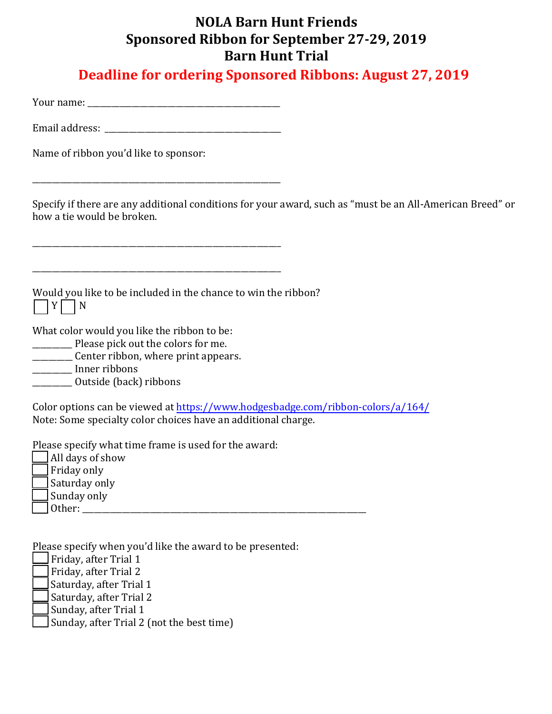## **NOLA Barn Hunt Friends Sponsored Ribbon for September 27-29, 2019 Barn Hunt Trial**

**Deadline for ordering Sponsored Ribbons: August 27, 2019**

Your name:  $\blacksquare$ 

Email address: \_\_\_\_\_\_\_\_\_\_\_\_\_\_\_\_\_\_\_\_\_\_\_\_\_\_\_\_\_\_\_\_\_\_\_\_\_\_\_\_\_\_\_\_

\_\_\_\_\_\_\_\_\_\_\_\_\_\_\_\_\_\_\_\_\_\_\_\_\_\_\_\_\_\_\_\_\_\_\_\_\_\_\_\_\_\_\_\_\_\_\_\_\_\_\_\_\_\_\_\_\_\_\_\_\_\_

\_\_\_\_\_\_\_\_\_\_\_\_\_\_\_\_\_\_\_\_\_\_\_\_\_\_\_\_\_\_\_\_\_\_\_\_\_\_\_\_\_\_\_\_\_\_\_\_\_\_\_\_\_\_\_\_\_\_\_\_\_\_

Name of ribbon you'd like to sponsor:

Specify if there are any additional conditions for your award, such as "must be an All-American Breed" or how a tie would be broken.

Would you like to be included in the chance to win the ribbon?  $\prod Y \prod N$ 

\_\_\_\_\_\_\_\_\_\_\_\_\_\_\_\_\_\_\_\_\_\_\_\_\_\_\_\_\_\_\_\_\_\_\_\_\_\_\_\_\_\_\_\_\_\_\_\_\_\_\_\_\_\_\_\_\_\_\_\_\_\_

What color would you like the ribbon to be:

\_\_\_\_\_\_\_\_\_\_ Please pick out the colors for me.

\_\_\_\_\_\_\_\_\_\_ Center ribbon, where print appears.

\_\_\_\_\_\_\_\_\_\_ Inner ribbons

\_\_\_\_\_\_\_\_\_\_ Outside (back) ribbons

Color options can be viewed a[t https://www.hodgesbadge.com/ribbon-colors/a/164/](https://www.hodgesbadge.com/ribbon-colors/a/164/) Note: Some specialty color choices have an additional charge.

Please specify what time frame is used for the award:

\_\_\_\_ All days of show

 $\Box$  Friday only

\_\_\_\_ Saturday only

 $\Box$  Sunday only

 $\Box$  Other:

Please specify when you'd like the award to be presented:

- $\Box$  Friday, after Trial 1
- Friday, after Trial 2
- Saturday, after Trial 1
- Saturday, after Trial 2
- $\sqrt{\frac{1}{2}}$ Sunday, after Trial 1
- Sunday, after Trial 2 (not the best time)